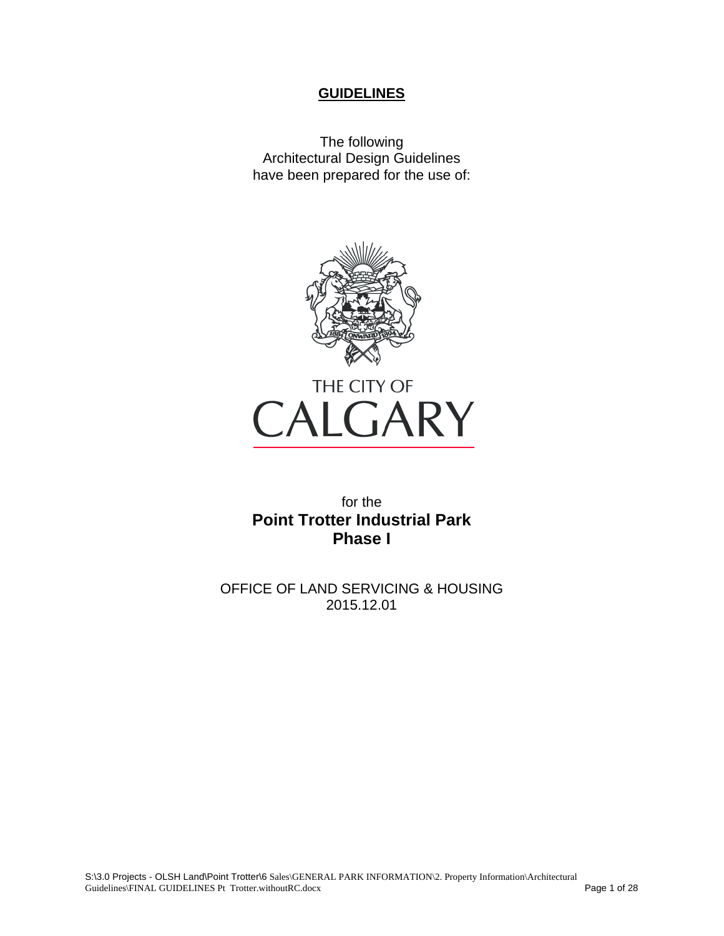### **GUIDELINES**

The following Architectural Design Guidelines have been prepared for the use of:





for the **Point Trotter Industrial Park Phase I** 

OFFICE OF LAND SERVICING & HOUSING 2015.12.01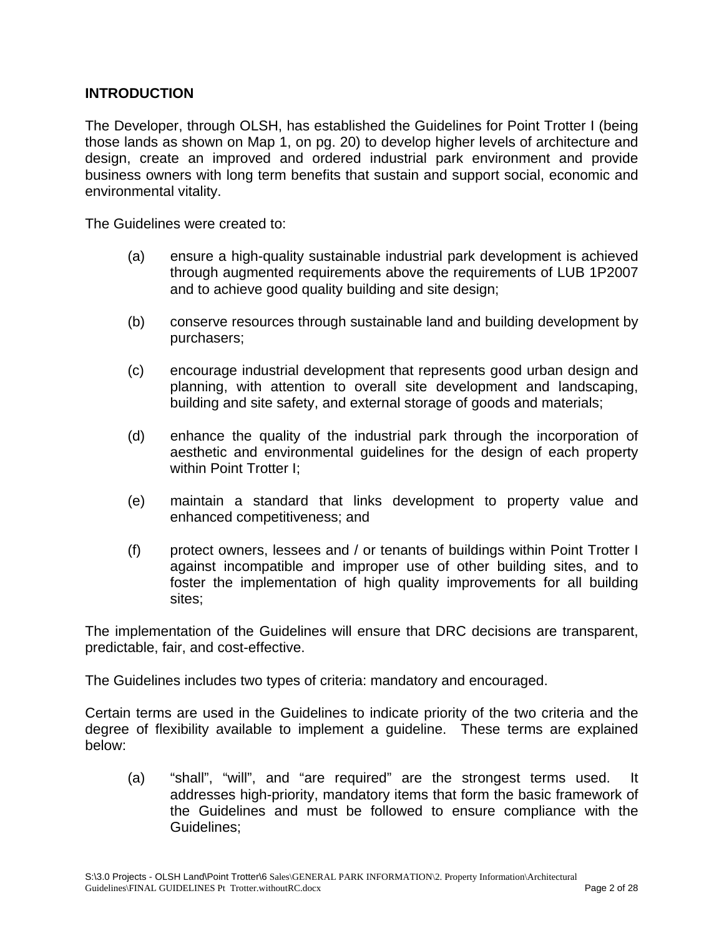## **INTRODUCTION**

The Developer, through OLSH, has established the Guidelines for Point Trotter I (being those lands as shown on Map 1, on pg. 20) to develop higher levels of architecture and design, create an improved and ordered industrial park environment and provide business owners with long term benefits that sustain and support social, economic and environmental vitality.

The Guidelines were created to:

- (a) ensure a high-quality sustainable industrial park development is achieved through augmented requirements above the requirements of LUB 1P2007 and to achieve good quality building and site design;
- (b) conserve resources through sustainable land and building development by purchasers;
- (c) encourage industrial development that represents good urban design and planning, with attention to overall site development and landscaping, building and site safety, and external storage of goods and materials;
- (d) enhance the quality of the industrial park through the incorporation of aesthetic and environmental guidelines for the design of each property within Point Trotter I;
- (e) maintain a standard that links development to property value and enhanced competitiveness; and
- (f) protect owners, lessees and / or tenants of buildings within Point Trotter I against incompatible and improper use of other building sites, and to foster the implementation of high quality improvements for all building sites;

The implementation of the Guidelines will ensure that DRC decisions are transparent, predictable, fair, and cost-effective.

The Guidelines includes two types of criteria: mandatory and encouraged.

Certain terms are used in the Guidelines to indicate priority of the two criteria and the degree of flexibility available to implement a guideline. These terms are explained below:

(a) "shall", "will", and "are required" are the strongest terms used. It addresses high-priority, mandatory items that form the basic framework of the Guidelines and must be followed to ensure compliance with the Guidelines;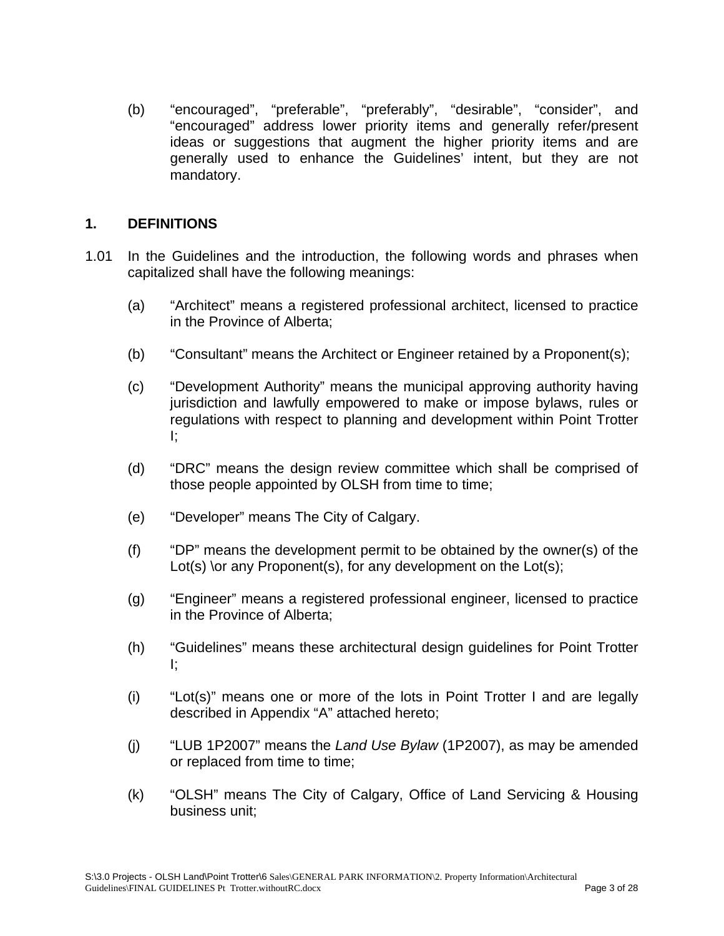(b) "encouraged", "preferable", "preferably", "desirable", "consider", and "encouraged" address lower priority items and generally refer/present ideas or suggestions that augment the higher priority items and are generally used to enhance the Guidelines' intent, but they are not mandatory.

## **1. DEFINITIONS**

- 1.01 In the Guidelines and the introduction, the following words and phrases when capitalized shall have the following meanings:
	- (a) "Architect" means a registered professional architect, licensed to practice in the Province of Alberta;
	- (b) "Consultant" means the Architect or Engineer retained by a Proponent(s);
	- (c) "Development Authority" means the municipal approving authority having jurisdiction and lawfully empowered to make or impose bylaws, rules or regulations with respect to planning and development within Point Trotter I;
	- (d) "DRC" means the design review committee which shall be comprised of those people appointed by OLSH from time to time;
	- (e) "Developer" means The City of Calgary.
	- (f) "DP" means the development permit to be obtained by the owner(s) of the Lot(s) \or any Proponent(s), for any development on the Lot(s);
	- (g) "Engineer" means a registered professional engineer, licensed to practice in the Province of Alberta;
	- (h) "Guidelines" means these architectural design guidelines for Point Trotter I;
	- (i) "Lot(s)" means one or more of the lots in Point Trotter I and are legally described in Appendix "A" attached hereto;
	- (j) "LUB 1P2007" means the *Land Use Bylaw* (1P2007), as may be amended or replaced from time to time;
	- (k) "OLSH" means The City of Calgary, Office of Land Servicing & Housing business unit;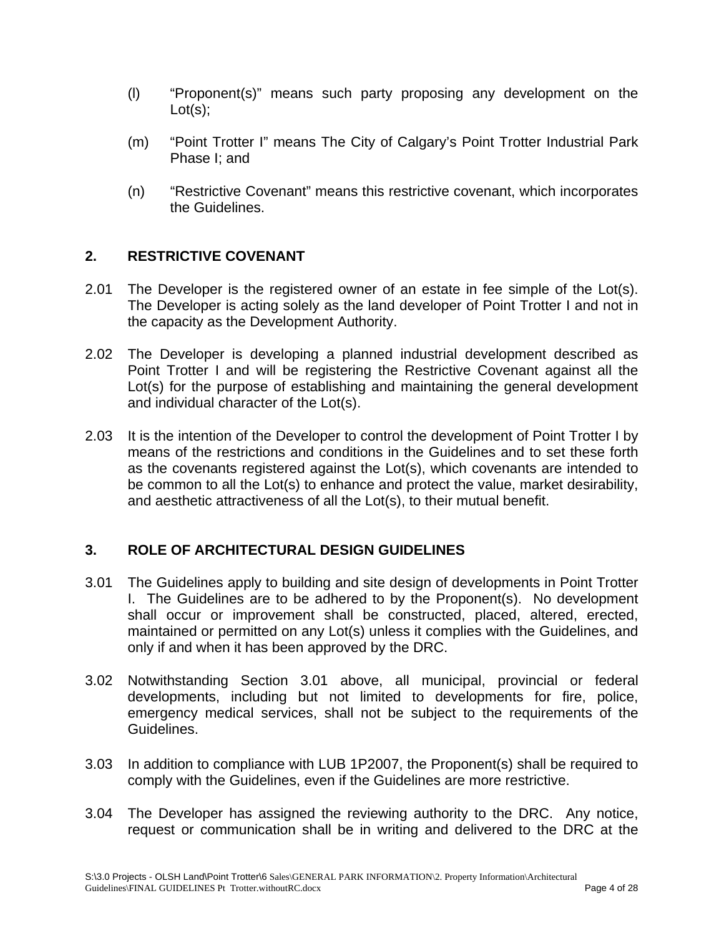- (l) "Proponent(s)" means such party proposing any development on the  $Lot(s);$
- (m) "Point Trotter I" means The City of Calgary's Point Trotter Industrial Park Phase I; and
- (n) "Restrictive Covenant" means this restrictive covenant, which incorporates the Guidelines.

## **2. RESTRICTIVE COVENANT**

- 2.01 The Developer is the registered owner of an estate in fee simple of the Lot(s). The Developer is acting solely as the land developer of Point Trotter I and not in the capacity as the Development Authority.
- 2.02 The Developer is developing a planned industrial development described as Point Trotter I and will be registering the Restrictive Covenant against all the Lot(s) for the purpose of establishing and maintaining the general development and individual character of the Lot(s).
- 2.03 It is the intention of the Developer to control the development of Point Trotter I by means of the restrictions and conditions in the Guidelines and to set these forth as the covenants registered against the Lot(s), which covenants are intended to be common to all the Lot(s) to enhance and protect the value, market desirability, and aesthetic attractiveness of all the Lot(s), to their mutual benefit.

# **3. ROLE OF ARCHITECTURAL DESIGN GUIDELINES**

- 3.01 The Guidelines apply to building and site design of developments in Point Trotter I. The Guidelines are to be adhered to by the Proponent(s). No development shall occur or improvement shall be constructed, placed, altered, erected, maintained or permitted on any Lot(s) unless it complies with the Guidelines, and only if and when it has been approved by the DRC.
- 3.02 Notwithstanding Section 3.01 above, all municipal, provincial or federal developments, including but not limited to developments for fire, police, emergency medical services, shall not be subject to the requirements of the Guidelines.
- 3.03 In addition to compliance with LUB 1P2007, the Proponent(s) shall be required to comply with the Guidelines, even if the Guidelines are more restrictive.
- 3.04 The Developer has assigned the reviewing authority to the DRC. Any notice, request or communication shall be in writing and delivered to the DRC at the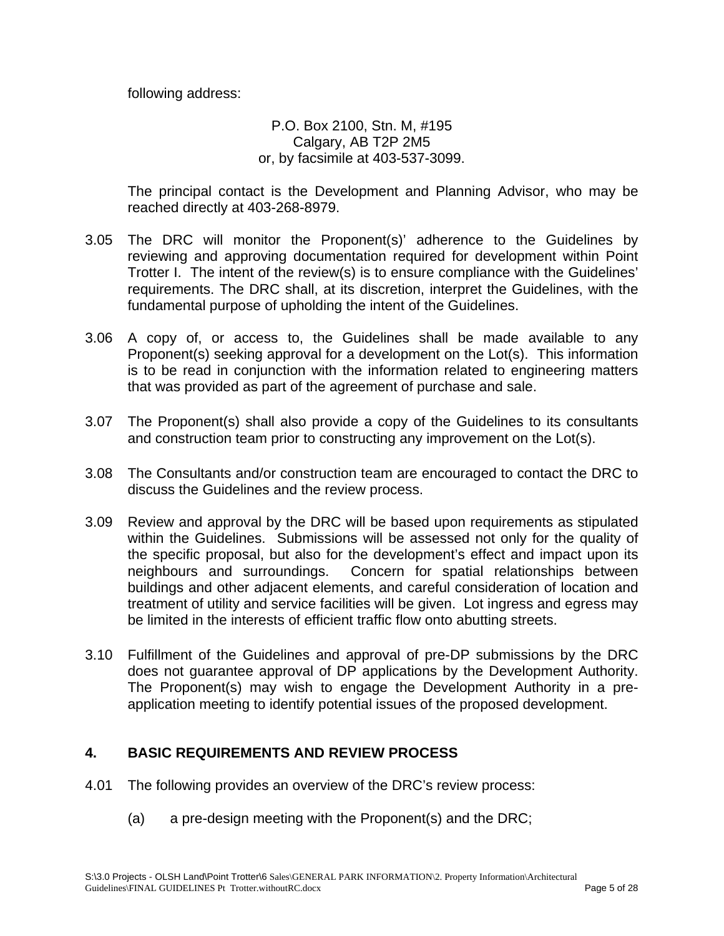following address:

### P.O. Box 2100, Stn. M, #195 Calgary, AB T2P 2M5 or, by facsimile at 403-537-3099.

The principal contact is the Development and Planning Advisor, who may be reached directly at 403-268-8979.

- 3.05 The DRC will monitor the Proponent(s)' adherence to the Guidelines by reviewing and approving documentation required for development within Point Trotter I. The intent of the review(s) is to ensure compliance with the Guidelines' requirements. The DRC shall, at its discretion, interpret the Guidelines, with the fundamental purpose of upholding the intent of the Guidelines.
- 3.06 A copy of, or access to, the Guidelines shall be made available to any Proponent(s) seeking approval for a development on the Lot(s). This information is to be read in conjunction with the information related to engineering matters that was provided as part of the agreement of purchase and sale.
- 3.07 The Proponent(s) shall also provide a copy of the Guidelines to its consultants and construction team prior to constructing any improvement on the Lot(s).
- 3.08 The Consultants and/or construction team are encouraged to contact the DRC to discuss the Guidelines and the review process.
- 3.09 Review and approval by the DRC will be based upon requirements as stipulated within the Guidelines. Submissions will be assessed not only for the quality of the specific proposal, but also for the development's effect and impact upon its neighbours and surroundings. Concern for spatial relationships between buildings and other adjacent elements, and careful consideration of location and treatment of utility and service facilities will be given. Lot ingress and egress may be limited in the interests of efficient traffic flow onto abutting streets.
- 3.10 Fulfillment of the Guidelines and approval of pre-DP submissions by the DRC does not guarantee approval of DP applications by the Development Authority. The Proponent(s) may wish to engage the Development Authority in a preapplication meeting to identify potential issues of the proposed development.

# **4. BASIC REQUIREMENTS AND REVIEW PROCESS**

- 4.01 The following provides an overview of the DRC's review process:
	- (a) a pre-design meeting with the Proponent(s) and the DRC;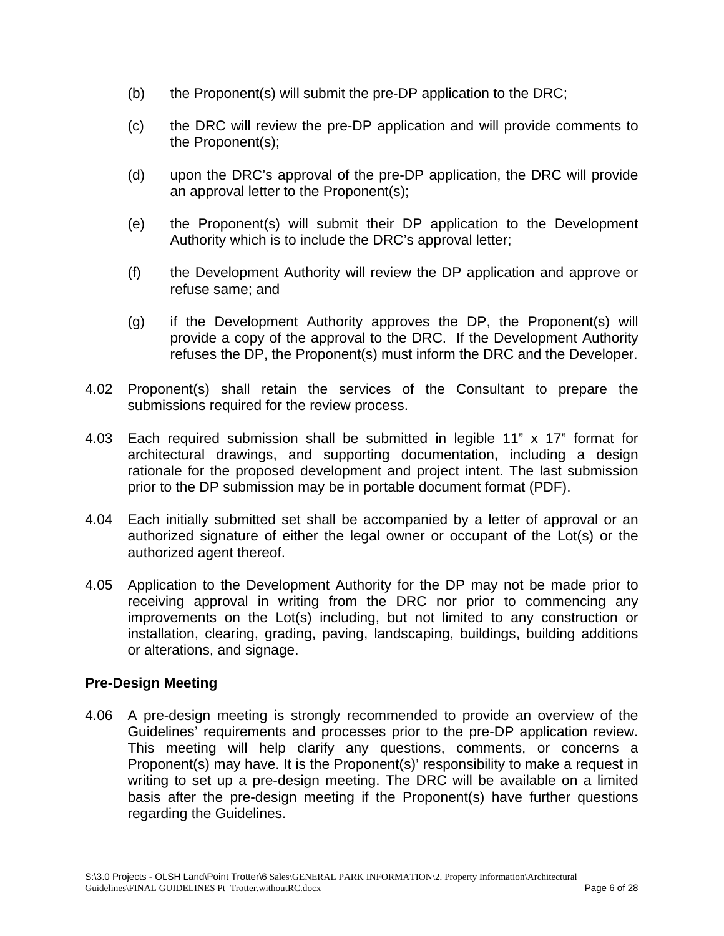- (b) the Proponent(s) will submit the pre-DP application to the DRC;
- (c) the DRC will review the pre-DP application and will provide comments to the Proponent(s);
- (d) upon the DRC's approval of the pre-DP application, the DRC will provide an approval letter to the Proponent(s);
- (e) the Proponent(s) will submit their DP application to the Development Authority which is to include the DRC's approval letter;
- (f) the Development Authority will review the DP application and approve or refuse same; and
- (g) if the Development Authority approves the DP, the Proponent(s) will provide a copy of the approval to the DRC. If the Development Authority refuses the DP, the Proponent(s) must inform the DRC and the Developer.
- 4.02 Proponent(s) shall retain the services of the Consultant to prepare the submissions required for the review process.
- 4.03 Each required submission shall be submitted in legible 11" x 17" format for architectural drawings, and supporting documentation, including a design rationale for the proposed development and project intent. The last submission prior to the DP submission may be in portable document format (PDF).
- 4.04 Each initially submitted set shall be accompanied by a letter of approval or an authorized signature of either the legal owner or occupant of the Lot(s) or the authorized agent thereof.
- 4.05 Application to the Development Authority for the DP may not be made prior to receiving approval in writing from the DRC nor prior to commencing any improvements on the Lot(s) including, but not limited to any construction or installation, clearing, grading, paving, landscaping, buildings, building additions or alterations, and signage.

## **Pre-Design Meeting**

4.06 A pre-design meeting is strongly recommended to provide an overview of the Guidelines' requirements and processes prior to the pre-DP application review. This meeting will help clarify any questions, comments, or concerns a Proponent(s) may have. It is the Proponent(s)' responsibility to make a request in writing to set up a pre-design meeting. The DRC will be available on a limited basis after the pre-design meeting if the Proponent(s) have further questions regarding the Guidelines.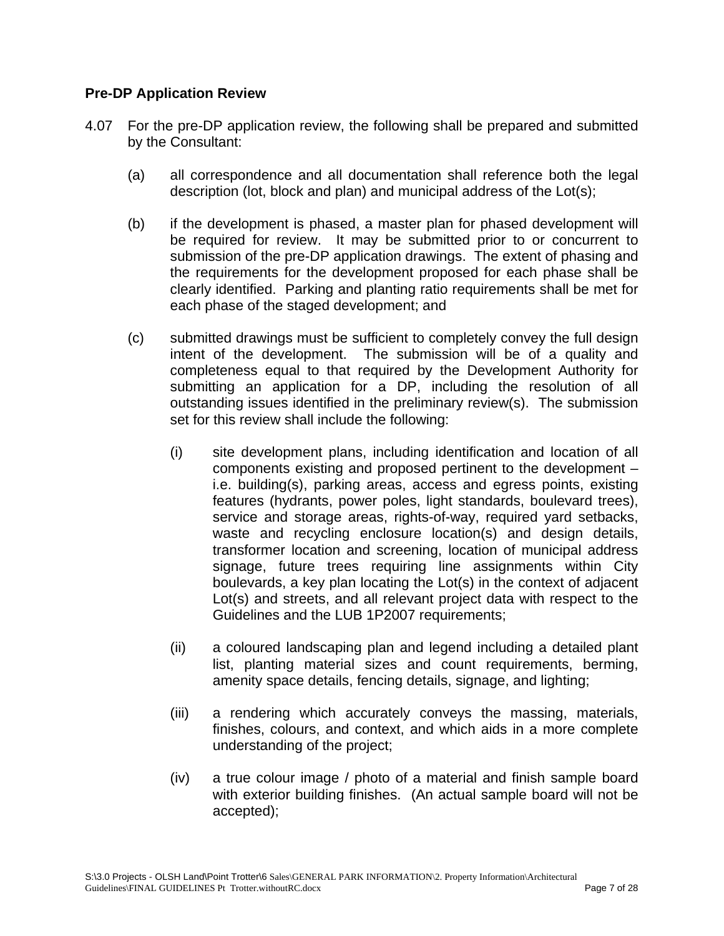### **Pre-DP Application Review**

- 4.07 For the pre-DP application review, the following shall be prepared and submitted by the Consultant:
	- (a) all correspondence and all documentation shall reference both the legal description (lot, block and plan) and municipal address of the Lot(s);
	- (b) if the development is phased, a master plan for phased development will be required for review. It may be submitted prior to or concurrent to submission of the pre-DP application drawings. The extent of phasing and the requirements for the development proposed for each phase shall be clearly identified. Parking and planting ratio requirements shall be met for each phase of the staged development; and
	- (c) submitted drawings must be sufficient to completely convey the full design intent of the development. The submission will be of a quality and completeness equal to that required by the Development Authority for submitting an application for a DP, including the resolution of all outstanding issues identified in the preliminary review(s). The submission set for this review shall include the following:
		- (i) site development plans, including identification and location of all components existing and proposed pertinent to the development – i.e. building(s), parking areas, access and egress points, existing features (hydrants, power poles, light standards, boulevard trees), service and storage areas, rights-of-way, required yard setbacks, waste and recycling enclosure location(s) and design details, transformer location and screening, location of municipal address signage, future trees requiring line assignments within City boulevards, a key plan locating the Lot(s) in the context of adjacent Lot(s) and streets, and all relevant project data with respect to the Guidelines and the LUB 1P2007 requirements;
		- (ii) a coloured landscaping plan and legend including a detailed plant list, planting material sizes and count requirements, berming, amenity space details, fencing details, signage, and lighting;
		- (iii) a rendering which accurately conveys the massing, materials, finishes, colours, and context, and which aids in a more complete understanding of the project;
		- (iv) a true colour image / photo of a material and finish sample board with exterior building finishes. (An actual sample board will not be accepted);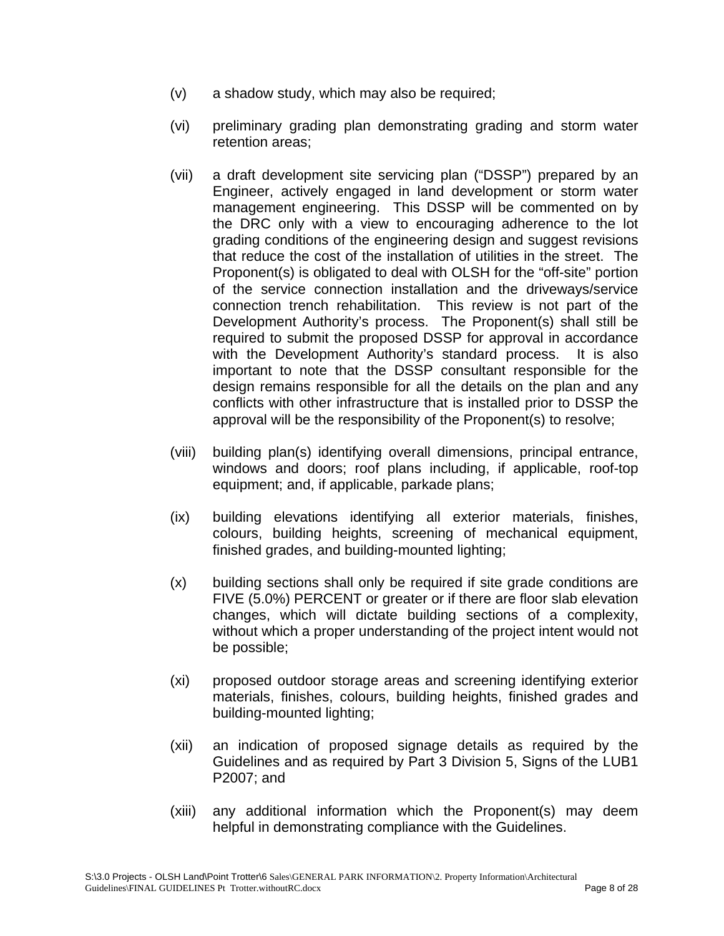- (v) a shadow study, which may also be required;
- (vi) preliminary grading plan demonstrating grading and storm water retention areas;
- (vii) a draft development site servicing plan ("DSSP") prepared by an Engineer, actively engaged in land development or storm water management engineering. This DSSP will be commented on by the DRC only with a view to encouraging adherence to the lot grading conditions of the engineering design and suggest revisions that reduce the cost of the installation of utilities in the street. The Proponent(s) is obligated to deal with OLSH for the "off-site" portion of the service connection installation and the driveways/service connection trench rehabilitation. This review is not part of the Development Authority's process. The Proponent(s) shall still be required to submit the proposed DSSP for approval in accordance with the Development Authority's standard process. It is also important to note that the DSSP consultant responsible for the design remains responsible for all the details on the plan and any conflicts with other infrastructure that is installed prior to DSSP the approval will be the responsibility of the Proponent(s) to resolve;
- (viii) building plan(s) identifying overall dimensions, principal entrance, windows and doors; roof plans including, if applicable, roof-top equipment; and, if applicable, parkade plans;
- (ix) building elevations identifying all exterior materials, finishes, colours, building heights, screening of mechanical equipment, finished grades, and building-mounted lighting;
- (x) building sections shall only be required if site grade conditions are FIVE (5.0%) PERCENT or greater or if there are floor slab elevation changes, which will dictate building sections of a complexity, without which a proper understanding of the project intent would not be possible;
- (xi) proposed outdoor storage areas and screening identifying exterior materials, finishes, colours, building heights, finished grades and building-mounted lighting;
- (xii) an indication of proposed signage details as required by the Guidelines and as required by Part 3 Division 5, Signs of the LUB1 P2007; and
- (xiii) any additional information which the Proponent(s) may deem helpful in demonstrating compliance with the Guidelines.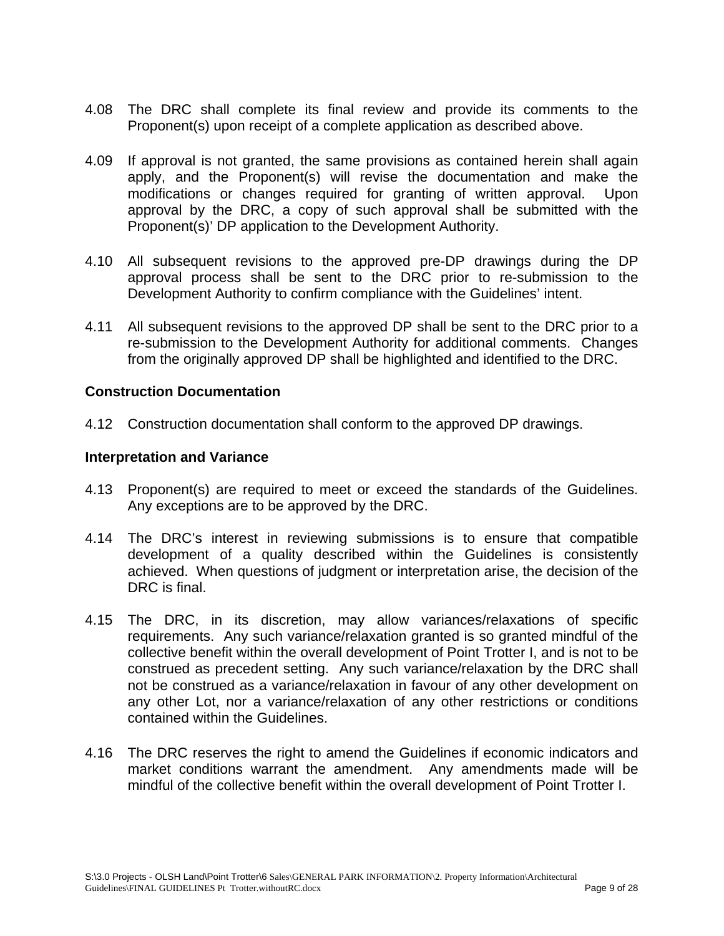- 4.08 The DRC shall complete its final review and provide its comments to the Proponent(s) upon receipt of a complete application as described above.
- 4.09 If approval is not granted, the same provisions as contained herein shall again apply, and the Proponent(s) will revise the documentation and make the modifications or changes required for granting of written approval. Upon approval by the DRC, a copy of such approval shall be submitted with the Proponent(s)' DP application to the Development Authority.
- 4.10 All subsequent revisions to the approved pre-DP drawings during the DP approval process shall be sent to the DRC prior to re-submission to the Development Authority to confirm compliance with the Guidelines' intent.
- 4.11 All subsequent revisions to the approved DP shall be sent to the DRC prior to a re-submission to the Development Authority for additional comments. Changes from the originally approved DP shall be highlighted and identified to the DRC.

#### **Construction Documentation**

4.12 Construction documentation shall conform to the approved DP drawings.

#### **Interpretation and Variance**

- 4.13 Proponent(s) are required to meet or exceed the standards of the Guidelines. Any exceptions are to be approved by the DRC.
- 4.14 The DRC's interest in reviewing submissions is to ensure that compatible development of a quality described within the Guidelines is consistently achieved. When questions of judgment or interpretation arise, the decision of the DRC is final.
- 4.15 The DRC, in its discretion, may allow variances/relaxations of specific requirements. Any such variance/relaxation granted is so granted mindful of the collective benefit within the overall development of Point Trotter I, and is not to be construed as precedent setting. Any such variance/relaxation by the DRC shall not be construed as a variance/relaxation in favour of any other development on any other Lot, nor a variance/relaxation of any other restrictions or conditions contained within the Guidelines.
- 4.16 The DRC reserves the right to amend the Guidelines if economic indicators and market conditions warrant the amendment. Any amendments made will be mindful of the collective benefit within the overall development of Point Trotter I.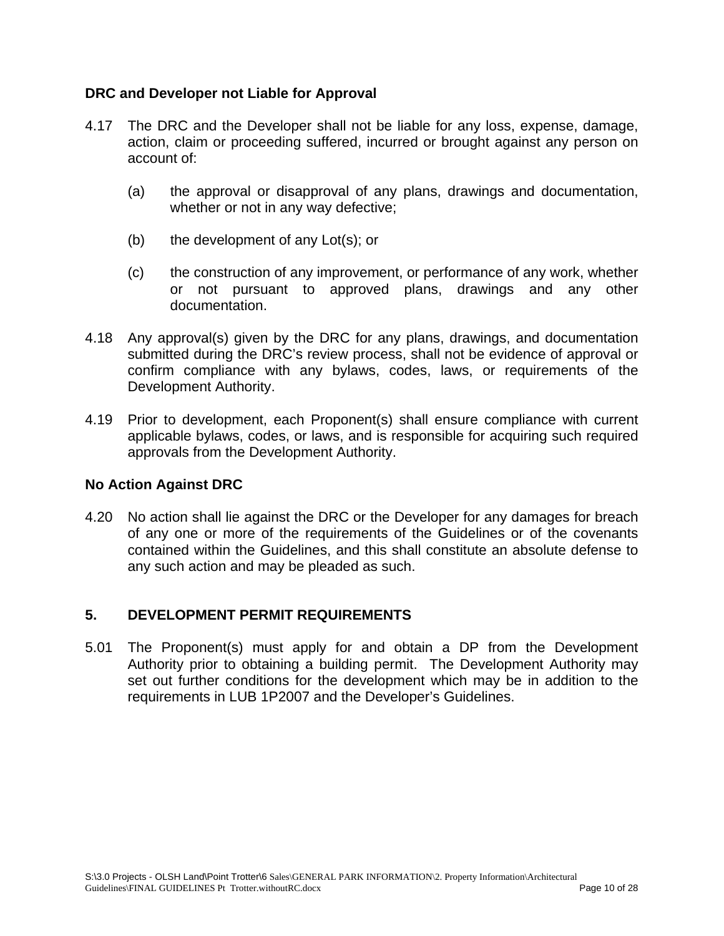## **DRC and Developer not Liable for Approval**

- 4.17 The DRC and the Developer shall not be liable for any loss, expense, damage, action, claim or proceeding suffered, incurred or brought against any person on account of:
	- (a) the approval or disapproval of any plans, drawings and documentation, whether or not in any way defective;
	- (b) the development of any Lot(s); or
	- (c) the construction of any improvement, or performance of any work, whether or not pursuant to approved plans, drawings and any other documentation.
- 4.18 Any approval(s) given by the DRC for any plans, drawings, and documentation submitted during the DRC's review process, shall not be evidence of approval or confirm compliance with any bylaws, codes, laws, or requirements of the Development Authority.
- 4.19 Prior to development, each Proponent(s) shall ensure compliance with current applicable bylaws, codes, or laws, and is responsible for acquiring such required approvals from the Development Authority.

#### **No Action Against DRC**

4.20 No action shall lie against the DRC or the Developer for any damages for breach of any one or more of the requirements of the Guidelines or of the covenants contained within the Guidelines, and this shall constitute an absolute defense to any such action and may be pleaded as such.

#### **5. DEVELOPMENT PERMIT REQUIREMENTS**

5.01 The Proponent(s) must apply for and obtain a DP from the Development Authority prior to obtaining a building permit. The Development Authority may set out further conditions for the development which may be in addition to the requirements in LUB 1P2007 and the Developer's Guidelines.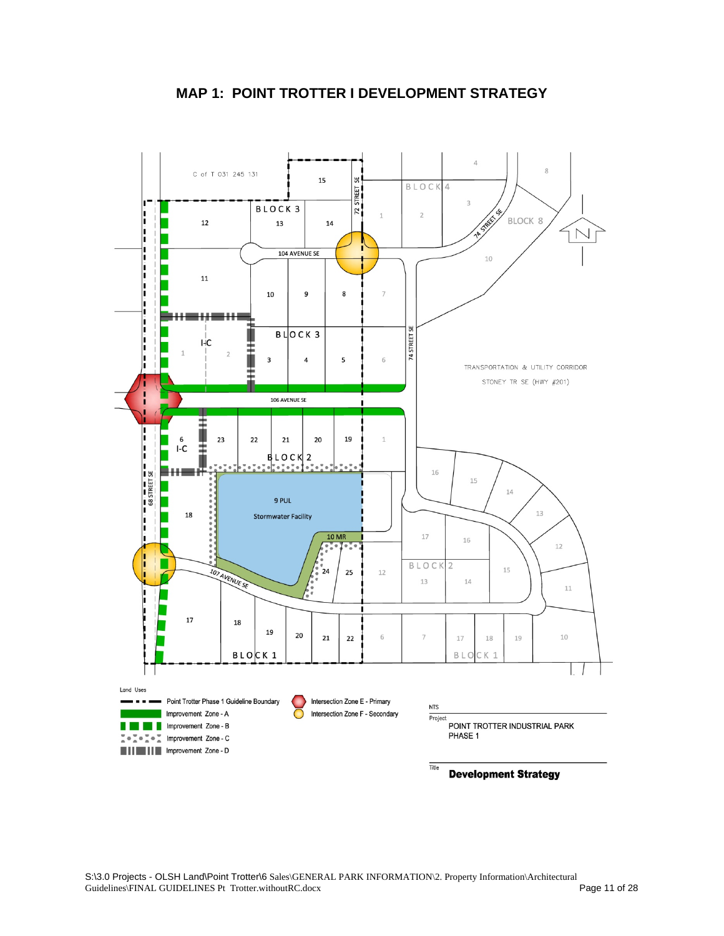

## **MAP 1: POINT TROTTER I DEVELOPMENT STRATEGY**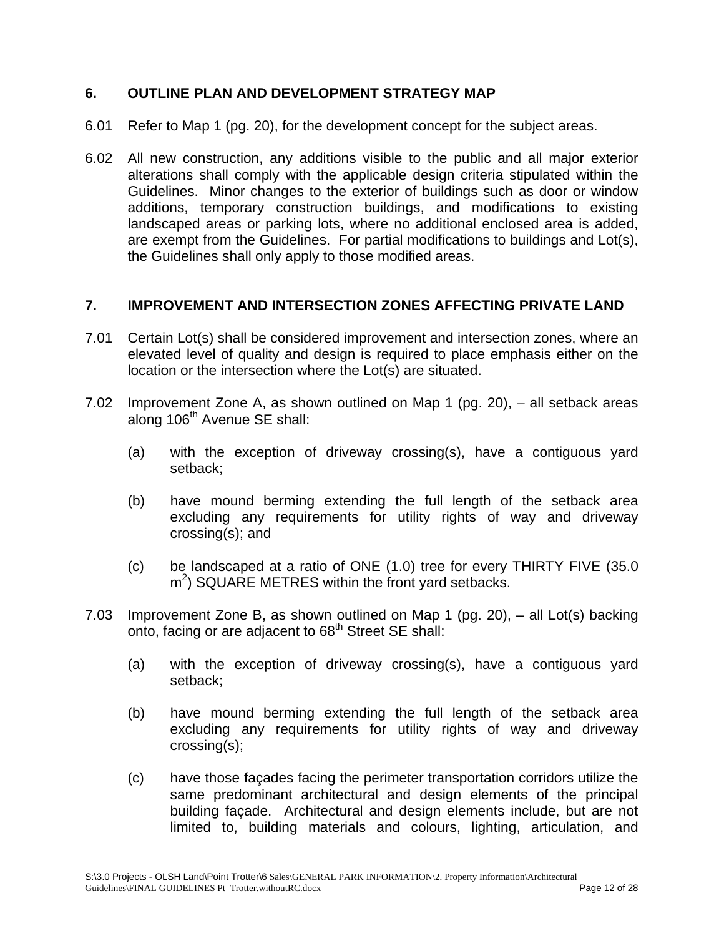## **6. OUTLINE PLAN AND DEVELOPMENT STRATEGY MAP**

- 6.01 Refer to Map 1 (pg. 20), for the development concept for the subject areas.
- 6.02 All new construction, any additions visible to the public and all major exterior alterations shall comply with the applicable design criteria stipulated within the Guidelines. Minor changes to the exterior of buildings such as door or window additions, temporary construction buildings, and modifications to existing landscaped areas or parking lots, where no additional enclosed area is added, are exempt from the Guidelines. For partial modifications to buildings and Lot(s), the Guidelines shall only apply to those modified areas.

## **7. IMPROVEMENT AND INTERSECTION ZONES AFFECTING PRIVATE LAND**

- 7.01 Certain Lot(s) shall be considered improvement and intersection zones, where an elevated level of quality and design is required to place emphasis either on the location or the intersection where the Lot(s) are situated.
- 7.02 Improvement Zone A, as shown outlined on Map 1 (pg. 20), all setback areas along 106<sup>th</sup> Avenue SE shall:
	- (a) with the exception of driveway crossing(s), have a contiguous yard setback;
	- (b) have mound berming extending the full length of the setback area excluding any requirements for utility rights of way and driveway crossing(s); and
	- (c) be landscaped at a ratio of ONE (1.0) tree for every THIRTY FIVE (35.0  $m<sup>2</sup>$ ) SQUARE METRES within the front yard setbacks.
- 7.03 Improvement Zone B, as shown outlined on Map 1 (pg. 20), all Lot(s) backing onto, facing or are adjacent to 68<sup>th</sup> Street SE shall:
	- (a) with the exception of driveway crossing(s), have a contiguous yard setback;
	- (b) have mound berming extending the full length of the setback area excluding any requirements for utility rights of way and driveway crossing(s);
	- (c) have those façades facing the perimeter transportation corridors utilize the same predominant architectural and design elements of the principal building façade. Architectural and design elements include, but are not limited to, building materials and colours, lighting, articulation, and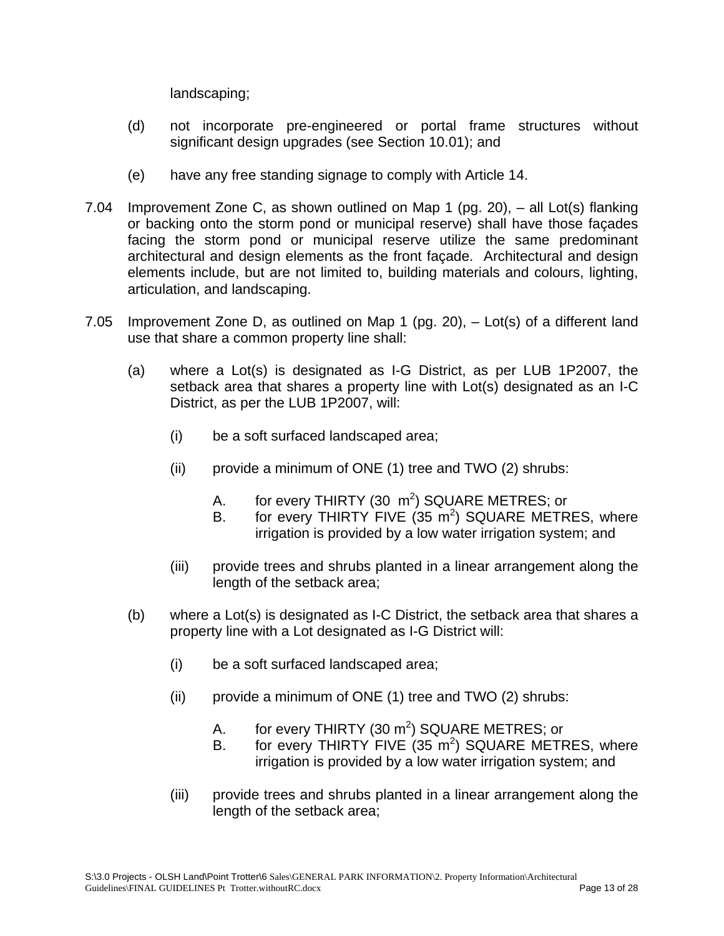landscaping;

- (d) not incorporate pre-engineered or portal frame structures without significant design upgrades (see Section 10.01); and
- (e) have any free standing signage to comply with Article 14.
- 7.04 Improvement Zone C, as shown outlined on Map 1 (pg. 20), all Lot(s) flanking or backing onto the storm pond or municipal reserve) shall have those façades facing the storm pond or municipal reserve utilize the same predominant architectural and design elements as the front façade. Architectural and design elements include, but are not limited to, building materials and colours, lighting, articulation, and landscaping.
- 7.05 Improvement Zone D, as outlined on Map 1 (pg. 20), Lot(s) of a different land use that share a common property line shall:
	- (a) where a Lot(s) is designated as I-G District, as per LUB 1P2007, the setback area that shares a property line with Lot(s) designated as an I-C District, as per the LUB 1P2007, will:
		- (i) be a soft surfaced landscaped area;
		- (ii) provide a minimum of ONE (1) tree and TWO (2) shrubs:
			- A. for every THIRTY (30  $\,\mathrm{m}^2$ ) SQUARE METRES; or
			- B. for every THIRTY FIVE  $(35 \text{ m}^2)$  SQUARE METRES, where irrigation is provided by a low water irrigation system; and
		- (iii) provide trees and shrubs planted in a linear arrangement along the length of the setback area;
	- (b) where a Lot(s) is designated as I-C District, the setback area that shares a property line with a Lot designated as I-G District will:
		- (i) be a soft surfaced landscaped area;
		- (ii) provide a minimum of ONE (1) tree and TWO (2) shrubs:
			- A. for every THIRTY (30  $m^2$ ) SQUARE METRES; or
			- B. for every THIRTY FIVE  $(35 \text{ m}^2)$  SQUARE METRES, where irrigation is provided by a low water irrigation system; and
		- (iii) provide trees and shrubs planted in a linear arrangement along the length of the setback area;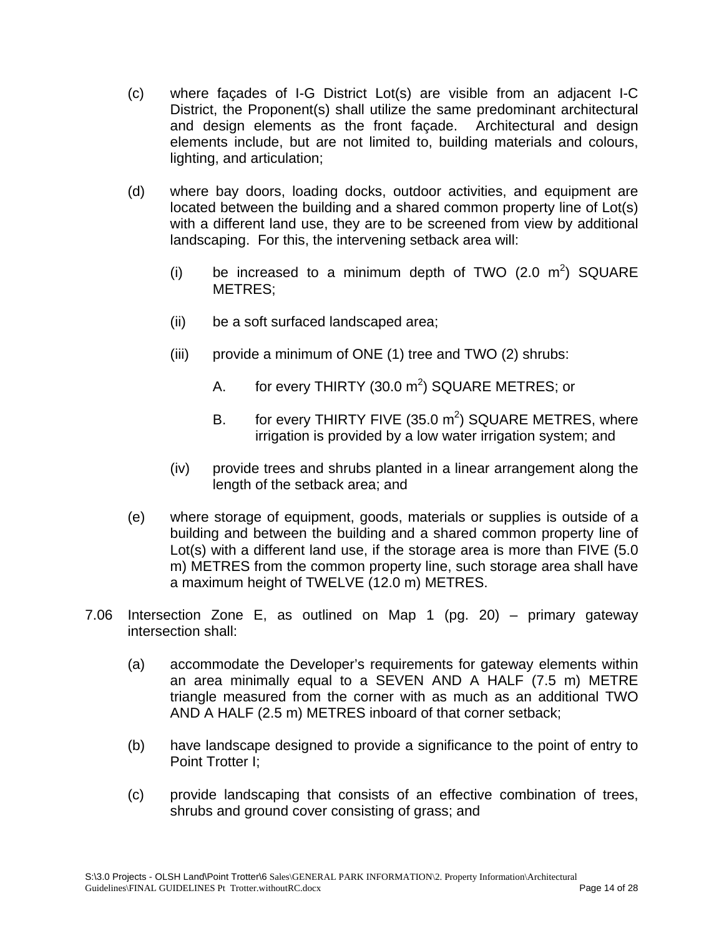- (c) where façades of I-G District Lot(s) are visible from an adjacent I-C District, the Proponent(s) shall utilize the same predominant architectural and design elements as the front façade. Architectural and design elements include, but are not limited to, building materials and colours, lighting, and articulation;
- (d) where bay doors, loading docks, outdoor activities, and equipment are located between the building and a shared common property line of Lot(s) with a different land use, they are to be screened from view by additional landscaping. For this, the intervening setback area will:
	- (i) be increased to a minimum depth of TWO  $(2.0 \text{ m}^2)$  SQUARE METRES;
	- (ii) be a soft surfaced landscaped area;
	- (iii) provide a minimum of ONE (1) tree and TWO (2) shrubs:
		- A. for every THIRTY (30.0  $m^2$ ) SQUARE METRES; or
		- B. for every THIRTY FIVE (35.0  $m^2$ ) SQUARE METRES, where irrigation is provided by a low water irrigation system; and
	- (iv) provide trees and shrubs planted in a linear arrangement along the length of the setback area; and
- (e) where storage of equipment, goods, materials or supplies is outside of a building and between the building and a shared common property line of Lot(s) with a different land use, if the storage area is more than FIVE (5.0 m) METRES from the common property line, such storage area shall have a maximum height of TWELVE (12.0 m) METRES.
- 7.06 Intersection Zone E, as outlined on Map 1 (pg. 20) primary gateway intersection shall:
	- (a) accommodate the Developer's requirements for gateway elements within an area minimally equal to a SEVEN AND A HALF (7.5 m) METRE triangle measured from the corner with as much as an additional TWO AND A HALF (2.5 m) METRES inboard of that corner setback;
	- (b) have landscape designed to provide a significance to the point of entry to Point Trotter I;
	- (c) provide landscaping that consists of an effective combination of trees, shrubs and ground cover consisting of grass; and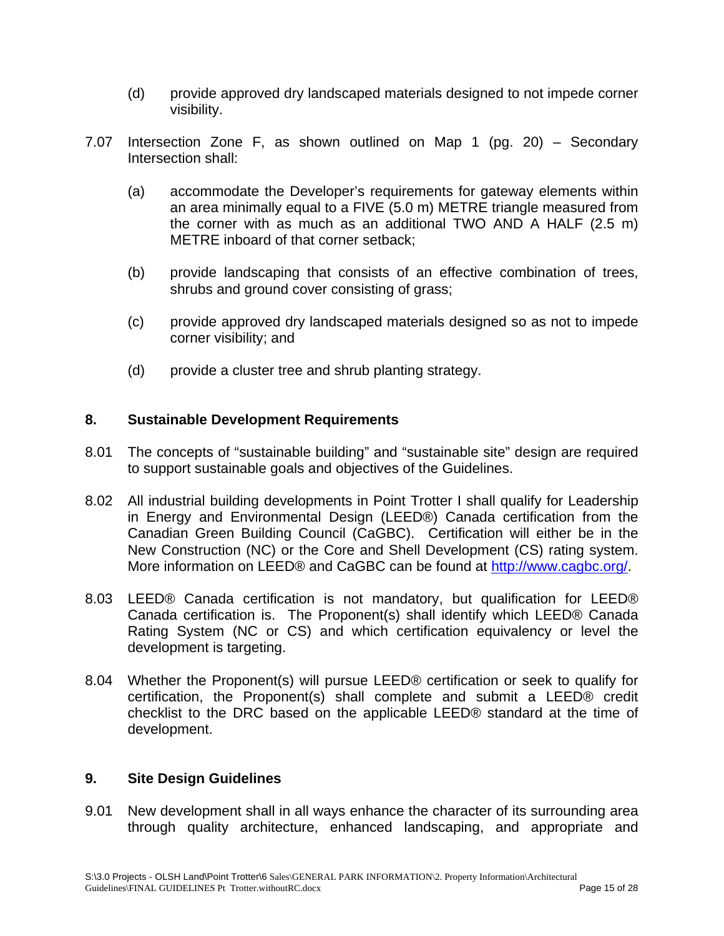- (d) provide approved dry landscaped materials designed to not impede corner visibility.
- 7.07 Intersection Zone F, as shown outlined on Map 1 (pg. 20) Secondary Intersection shall:
	- (a) accommodate the Developer's requirements for gateway elements within an area minimally equal to a FIVE (5.0 m) METRE triangle measured from the corner with as much as an additional TWO AND A HALF (2.5 m) METRE inboard of that corner setback;
	- (b) provide landscaping that consists of an effective combination of trees, shrubs and ground cover consisting of grass;
	- (c) provide approved dry landscaped materials designed so as not to impede corner visibility; and
	- (d) provide a cluster tree and shrub planting strategy.

#### **8. Sustainable Development Requirements**

- 8.01 The concepts of "sustainable building" and "sustainable site" design are required to support sustainable goals and objectives of the Guidelines.
- 8.02 All industrial building developments in Point Trotter I shall qualify for Leadership in Energy and Environmental Design (LEED®) Canada certification from the Canadian Green Building Council (CaGBC). Certification will either be in the New Construction (NC) or the Core and Shell Development (CS) rating system. More information on LEED® and CaGBC can be found at http://www.cagbc.org/.
- 8.03 LEED® Canada certification is not mandatory, but qualification for LEED® Canada certification is. The Proponent(s) shall identify which LEED® Canada Rating System (NC or CS) and which certification equivalency or level the development is targeting.
- 8.04 Whether the Proponent(s) will pursue LEED® certification or seek to qualify for certification, the Proponent(s) shall complete and submit a LEED® credit checklist to the DRC based on the applicable LEED® standard at the time of development.

#### **9. Site Design Guidelines**

9.01 New development shall in all ways enhance the character of its surrounding area through quality architecture, enhanced landscaping, and appropriate and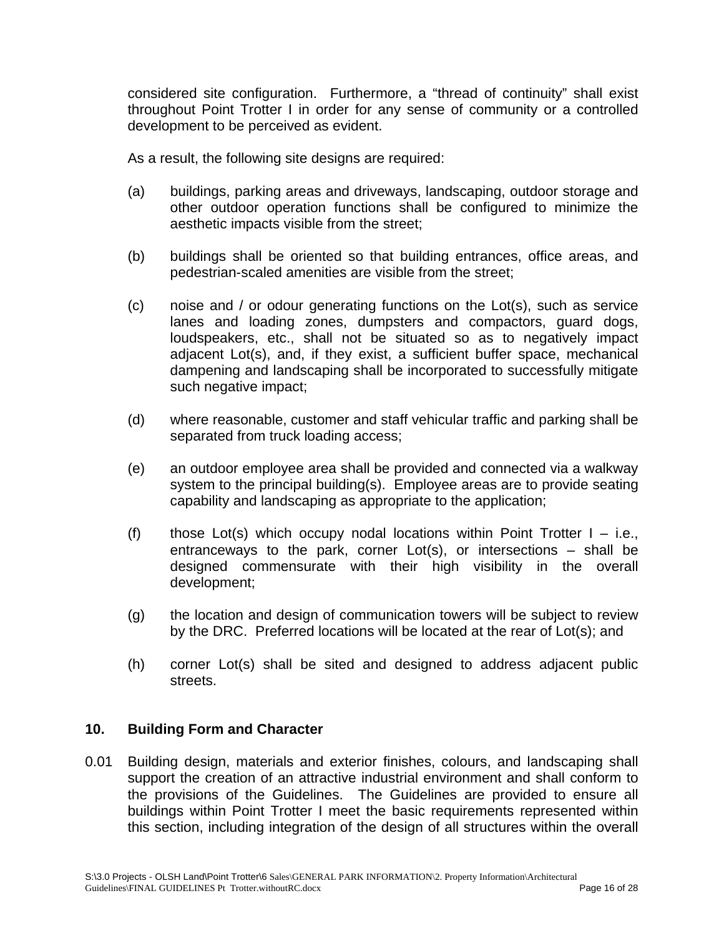considered site configuration. Furthermore, a "thread of continuity" shall exist throughout Point Trotter I in order for any sense of community or a controlled development to be perceived as evident.

As a result, the following site designs are required:

- (a) buildings, parking areas and driveways, landscaping, outdoor storage and other outdoor operation functions shall be configured to minimize the aesthetic impacts visible from the street;
- (b) buildings shall be oriented so that building entrances, office areas, and pedestrian-scaled amenities are visible from the street;
- (c) noise and / or odour generating functions on the Lot(s), such as service lanes and loading zones, dumpsters and compactors, guard dogs, loudspeakers, etc., shall not be situated so as to negatively impact adjacent Lot(s), and, if they exist, a sufficient buffer space, mechanical dampening and landscaping shall be incorporated to successfully mitigate such negative impact;
- (d) where reasonable, customer and staff vehicular traffic and parking shall be separated from truck loading access;
- (e) an outdoor employee area shall be provided and connected via a walkway system to the principal building(s). Employee areas are to provide seating capability and landscaping as appropriate to the application;
- (f) those Lot(s) which occupy nodal locations within Point Trotter  $I i.e.,$ entranceways to the park, corner Lot(s), or intersections – shall be designed commensurate with their high visibility in the overall development;
- (g) the location and design of communication towers will be subject to review by the DRC. Preferred locations will be located at the rear of Lot(s); and
- (h) corner Lot(s) shall be sited and designed to address adjacent public streets.

## **10. Building Form and Character**

0.01 Building design, materials and exterior finishes, colours, and landscaping shall support the creation of an attractive industrial environment and shall conform to the provisions of the Guidelines. The Guidelines are provided to ensure all buildings within Point Trotter I meet the basic requirements represented within this section, including integration of the design of all structures within the overall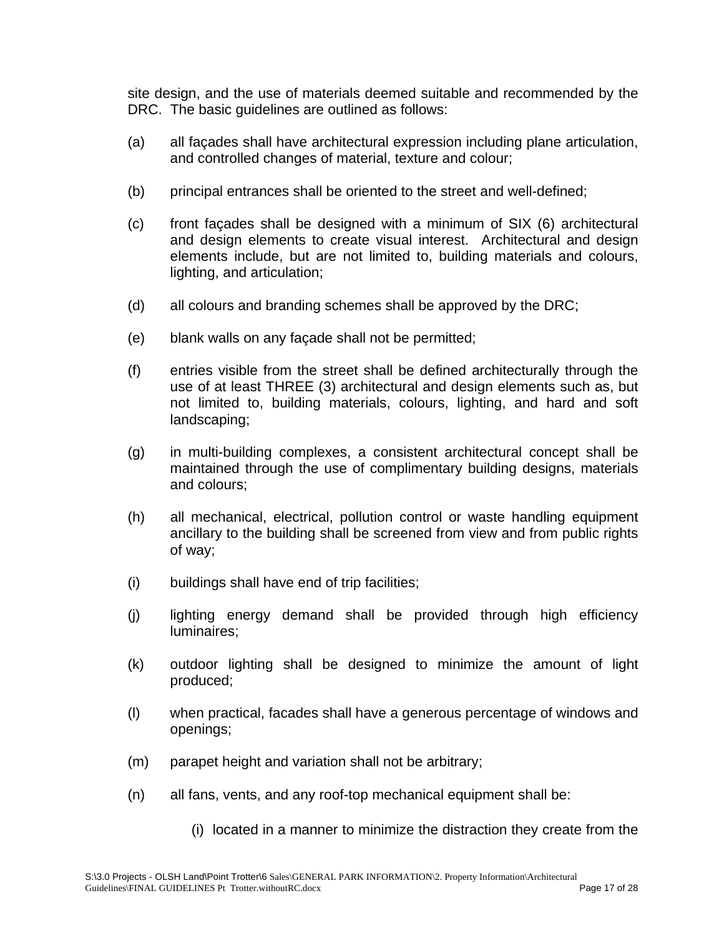site design, and the use of materials deemed suitable and recommended by the DRC. The basic guidelines are outlined as follows:

- (a) all façades shall have architectural expression including plane articulation, and controlled changes of material, texture and colour;
- (b) principal entrances shall be oriented to the street and well-defined;
- (c) front façades shall be designed with a minimum of SIX (6) architectural and design elements to create visual interest. Architectural and design elements include, but are not limited to, building materials and colours, lighting, and articulation;
- (d) all colours and branding schemes shall be approved by the DRC;
- (e) blank walls on any façade shall not be permitted;
- (f) entries visible from the street shall be defined architecturally through the use of at least THREE (3) architectural and design elements such as, but not limited to, building materials, colours, lighting, and hard and soft landscaping;
- (g) in multi-building complexes, a consistent architectural concept shall be maintained through the use of complimentary building designs, materials and colours;
- (h) all mechanical, electrical, pollution control or waste handling equipment ancillary to the building shall be screened from view and from public rights of way;
- (i) buildings shall have end of trip facilities;
- (j) lighting energy demand shall be provided through high efficiency luminaires;
- (k) outdoor lighting shall be designed to minimize the amount of light produced;
- (l) when practical, facades shall have a generous percentage of windows and openings;
- (m) parapet height and variation shall not be arbitrary;
- (n) all fans, vents, and any roof-top mechanical equipment shall be:
	- (i) located in a manner to minimize the distraction they create from the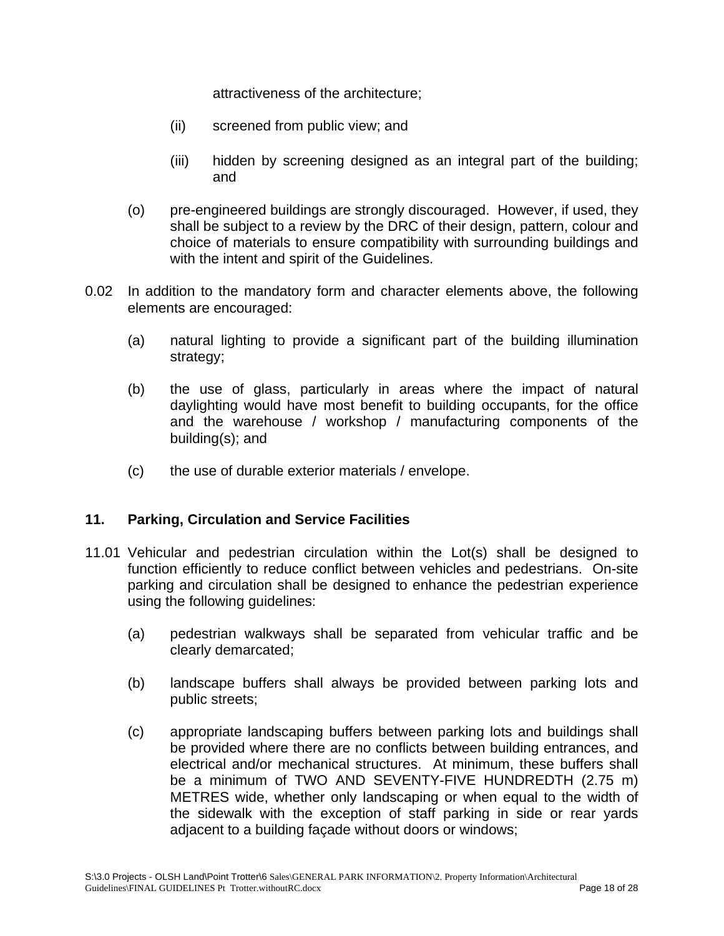attractiveness of the architecture;

- (ii) screened from public view; and
- (iii) hidden by screening designed as an integral part of the building; and
- (o) pre-engineered buildings are strongly discouraged. However, if used, they shall be subject to a review by the DRC of their design, pattern, colour and choice of materials to ensure compatibility with surrounding buildings and with the intent and spirit of the Guidelines.
- 0.02 In addition to the mandatory form and character elements above, the following elements are encouraged:
	- (a) natural lighting to provide a significant part of the building illumination strategy;
	- (b) the use of glass, particularly in areas where the impact of natural daylighting would have most benefit to building occupants, for the office and the warehouse / workshop / manufacturing components of the building(s); and
	- (c) the use of durable exterior materials / envelope.

## **11. Parking, Circulation and Service Facilities**

- 11.01 Vehicular and pedestrian circulation within the Lot(s) shall be designed to function efficiently to reduce conflict between vehicles and pedestrians. On-site parking and circulation shall be designed to enhance the pedestrian experience using the following guidelines:
	- (a) pedestrian walkways shall be separated from vehicular traffic and be clearly demarcated;
	- (b) landscape buffers shall always be provided between parking lots and public streets;
	- (c) appropriate landscaping buffers between parking lots and buildings shall be provided where there are no conflicts between building entrances, and electrical and/or mechanical structures. At minimum, these buffers shall be a minimum of TWO AND SEVENTY-FIVE HUNDREDTH (2.75 m) METRES wide, whether only landscaping or when equal to the width of the sidewalk with the exception of staff parking in side or rear yards adjacent to a building façade without doors or windows;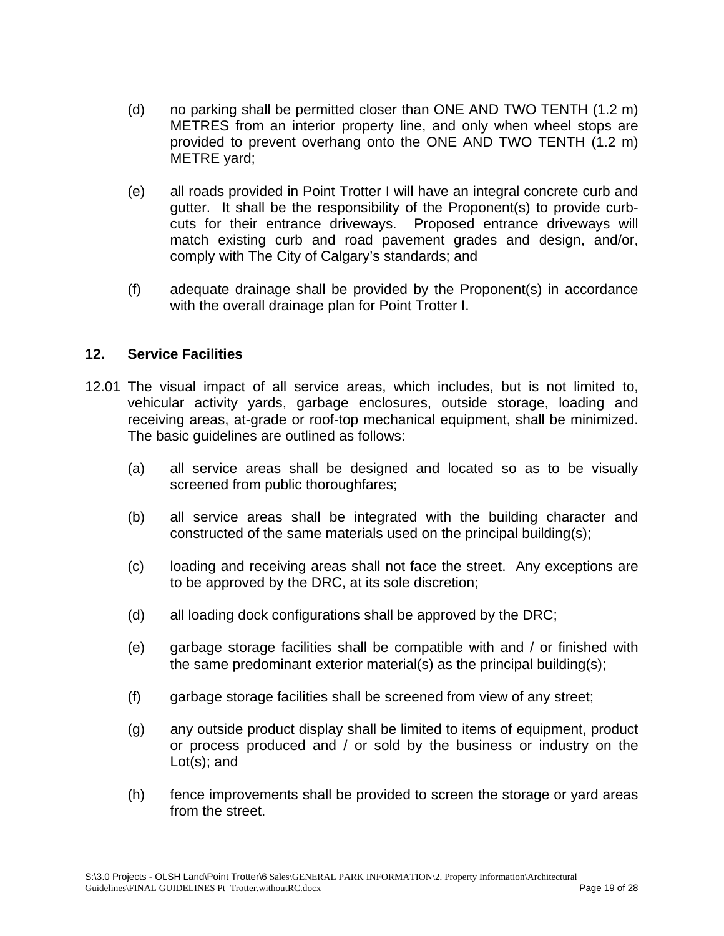- (d) no parking shall be permitted closer than ONE AND TWO TENTH (1.2 m) METRES from an interior property line, and only when wheel stops are provided to prevent overhang onto the ONE AND TWO TENTH (1.2 m) METRE yard;
- (e) all roads provided in Point Trotter I will have an integral concrete curb and gutter. It shall be the responsibility of the Proponent(s) to provide curbcuts for their entrance driveways. Proposed entrance driveways will match existing curb and road pavement grades and design, and/or, comply with The City of Calgary's standards; and
- (f) adequate drainage shall be provided by the Proponent(s) in accordance with the overall drainage plan for Point Trotter I.

## **12. Service Facilities**

- 12.01 The visual impact of all service areas, which includes, but is not limited to, vehicular activity yards, garbage enclosures, outside storage, loading and receiving areas, at-grade or roof-top mechanical equipment, shall be minimized. The basic guidelines are outlined as follows:
	- (a) all service areas shall be designed and located so as to be visually screened from public thoroughfares;
	- (b) all service areas shall be integrated with the building character and constructed of the same materials used on the principal building(s);
	- (c) loading and receiving areas shall not face the street. Any exceptions are to be approved by the DRC, at its sole discretion;
	- (d) all loading dock configurations shall be approved by the DRC;
	- (e) garbage storage facilities shall be compatible with and / or finished with the same predominant exterior material(s) as the principal building(s);
	- (f) garbage storage facilities shall be screened from view of any street;
	- (g) any outside product display shall be limited to items of equipment, product or process produced and / or sold by the business or industry on the Lot(s); and
	- (h) fence improvements shall be provided to screen the storage or yard areas from the street.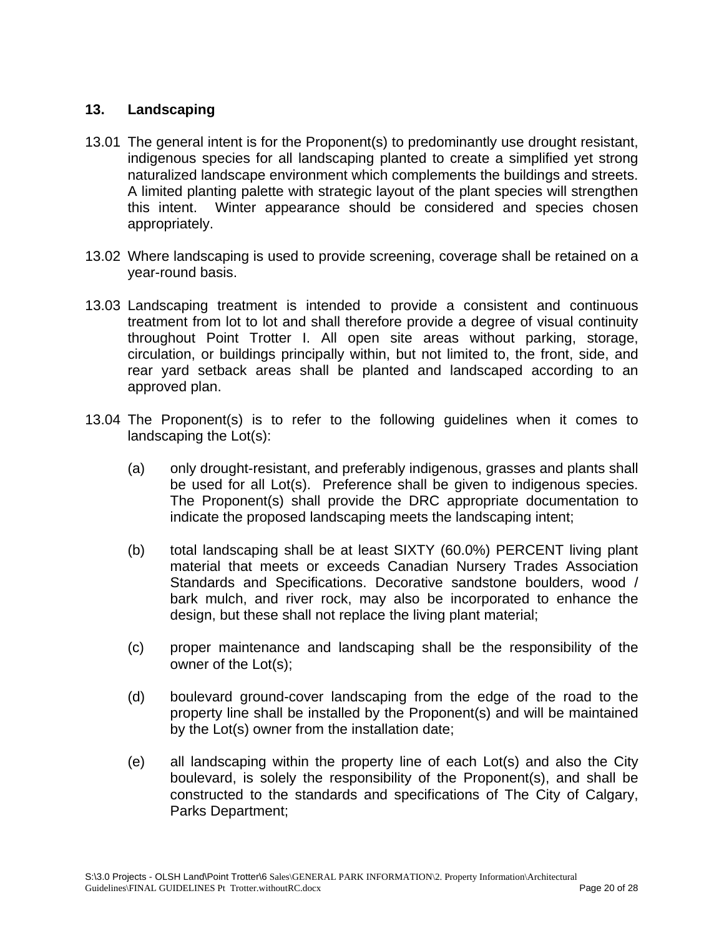## **13. Landscaping**

- 13.01 The general intent is for the Proponent(s) to predominantly use drought resistant, indigenous species for all landscaping planted to create a simplified yet strong naturalized landscape environment which complements the buildings and streets. A limited planting palette with strategic layout of the plant species will strengthen this intent. Winter appearance should be considered and species chosen appropriately.
- 13.02 Where landscaping is used to provide screening, coverage shall be retained on a year-round basis.
- 13.03 Landscaping treatment is intended to provide a consistent and continuous treatment from lot to lot and shall therefore provide a degree of visual continuity throughout Point Trotter I. All open site areas without parking, storage, circulation, or buildings principally within, but not limited to, the front, side, and rear yard setback areas shall be planted and landscaped according to an approved plan.
- 13.04 The Proponent(s) is to refer to the following guidelines when it comes to landscaping the Lot(s):
	- (a) only drought-resistant, and preferably indigenous, grasses and plants shall be used for all Lot(s). Preference shall be given to indigenous species. The Proponent(s) shall provide the DRC appropriate documentation to indicate the proposed landscaping meets the landscaping intent;
	- (b) total landscaping shall be at least SIXTY (60.0%) PERCENT living plant material that meets or exceeds Canadian Nursery Trades Association Standards and Specifications. Decorative sandstone boulders, wood / bark mulch, and river rock, may also be incorporated to enhance the design, but these shall not replace the living plant material;
	- (c) proper maintenance and landscaping shall be the responsibility of the owner of the Lot(s);
	- (d) boulevard ground-cover landscaping from the edge of the road to the property line shall be installed by the Proponent(s) and will be maintained by the Lot(s) owner from the installation date;
	- (e) all landscaping within the property line of each Lot(s) and also the City boulevard, is solely the responsibility of the Proponent(s), and shall be constructed to the standards and specifications of The City of Calgary, Parks Department;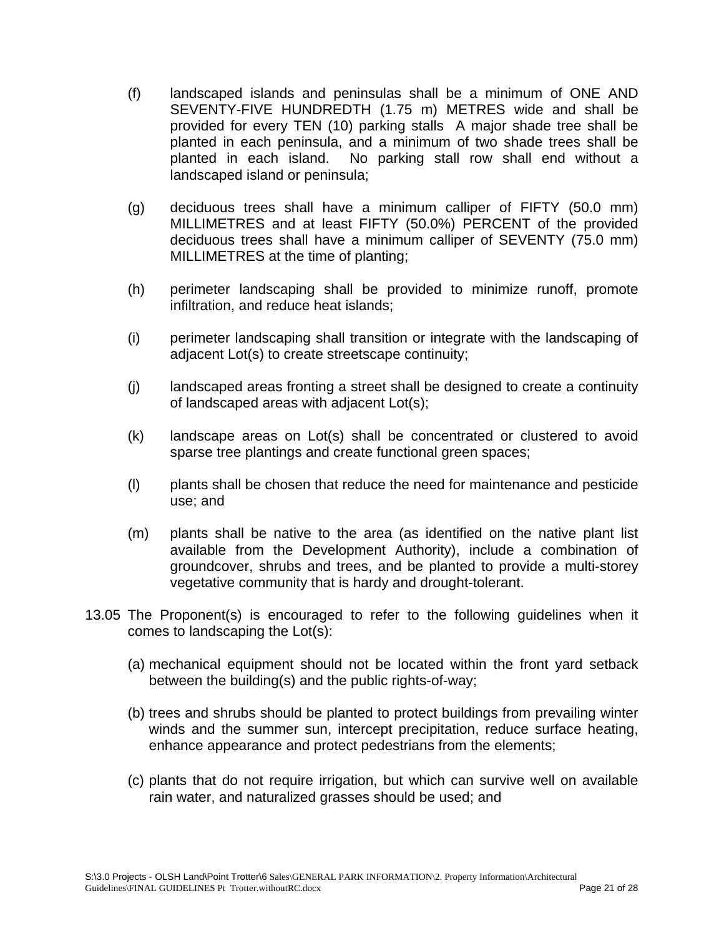- (f) landscaped islands and peninsulas shall be a minimum of ONE AND SEVENTY-FIVE HUNDREDTH (1.75 m) METRES wide and shall be provided for every TEN (10) parking stalls A major shade tree shall be planted in each peninsula, and a minimum of two shade trees shall be planted in each island. No parking stall row shall end without a landscaped island or peninsula;
- (g) deciduous trees shall have a minimum calliper of FIFTY (50.0 mm) MILLIMETRES and at least FIFTY (50.0%) PERCENT of the provided deciduous trees shall have a minimum calliper of SEVENTY (75.0 mm) MILLIMETRES at the time of planting;
- (h) perimeter landscaping shall be provided to minimize runoff, promote infiltration, and reduce heat islands;
- (i) perimeter landscaping shall transition or integrate with the landscaping of adjacent Lot(s) to create streetscape continuity;
- (j) landscaped areas fronting a street shall be designed to create a continuity of landscaped areas with adjacent Lot(s);
- (k) landscape areas on Lot(s) shall be concentrated or clustered to avoid sparse tree plantings and create functional green spaces;
- (l) plants shall be chosen that reduce the need for maintenance and pesticide use; and
- (m) plants shall be native to the area (as identified on the native plant list available from the Development Authority), include a combination of groundcover, shrubs and trees, and be planted to provide a multi-storey vegetative community that is hardy and drought-tolerant.
- 13.05 The Proponent(s) is encouraged to refer to the following guidelines when it comes to landscaping the Lot(s):
	- (a) mechanical equipment should not be located within the front yard setback between the building(s) and the public rights-of-way;
	- (b) trees and shrubs should be planted to protect buildings from prevailing winter winds and the summer sun, intercept precipitation, reduce surface heating, enhance appearance and protect pedestrians from the elements;
	- (c) plants that do not require irrigation, but which can survive well on available rain water, and naturalized grasses should be used; and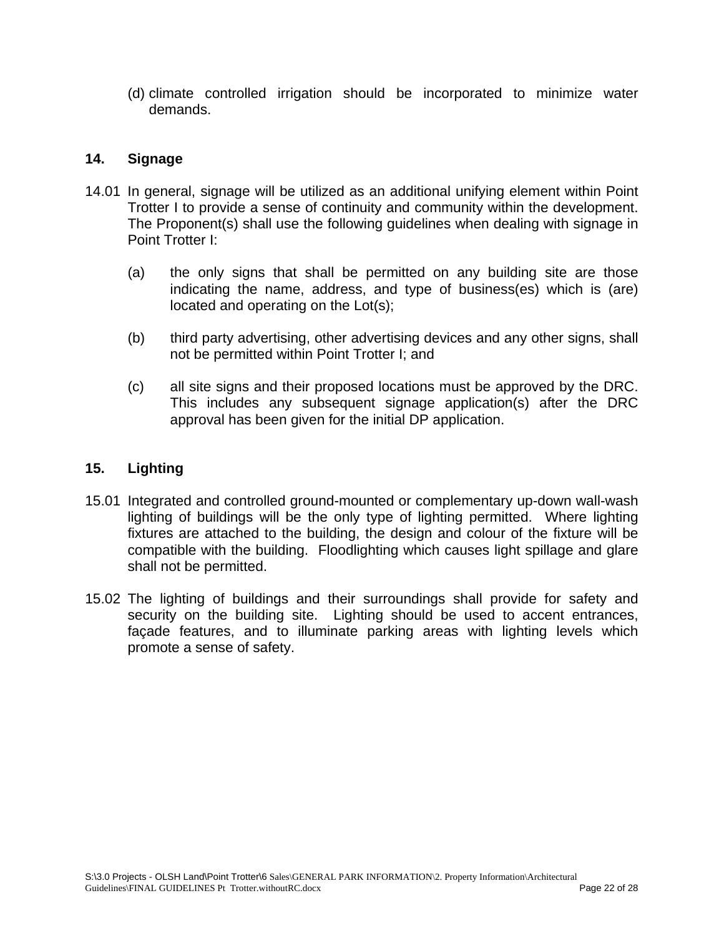(d) climate controlled irrigation should be incorporated to minimize water demands.

### **14. Signage**

- 14.01 In general, signage will be utilized as an additional unifying element within Point Trotter I to provide a sense of continuity and community within the development. The Proponent(s) shall use the following guidelines when dealing with signage in Point Trotter I:
	- (a) the only signs that shall be permitted on any building site are those indicating the name, address, and type of business(es) which is (are) located and operating on the Lot(s);
	- (b) third party advertising, other advertising devices and any other signs, shall not be permitted within Point Trotter I; and
	- (c) all site signs and their proposed locations must be approved by the DRC. This includes any subsequent signage application(s) after the DRC approval has been given for the initial DP application.

## **15. Lighting**

- 15.01 Integrated and controlled ground-mounted or complementary up-down wall-wash lighting of buildings will be the only type of lighting permitted. Where lighting fixtures are attached to the building, the design and colour of the fixture will be compatible with the building. Floodlighting which causes light spillage and glare shall not be permitted.
- 15.02 The lighting of buildings and their surroundings shall provide for safety and security on the building site. Lighting should be used to accent entrances, façade features, and to illuminate parking areas with lighting levels which promote a sense of safety.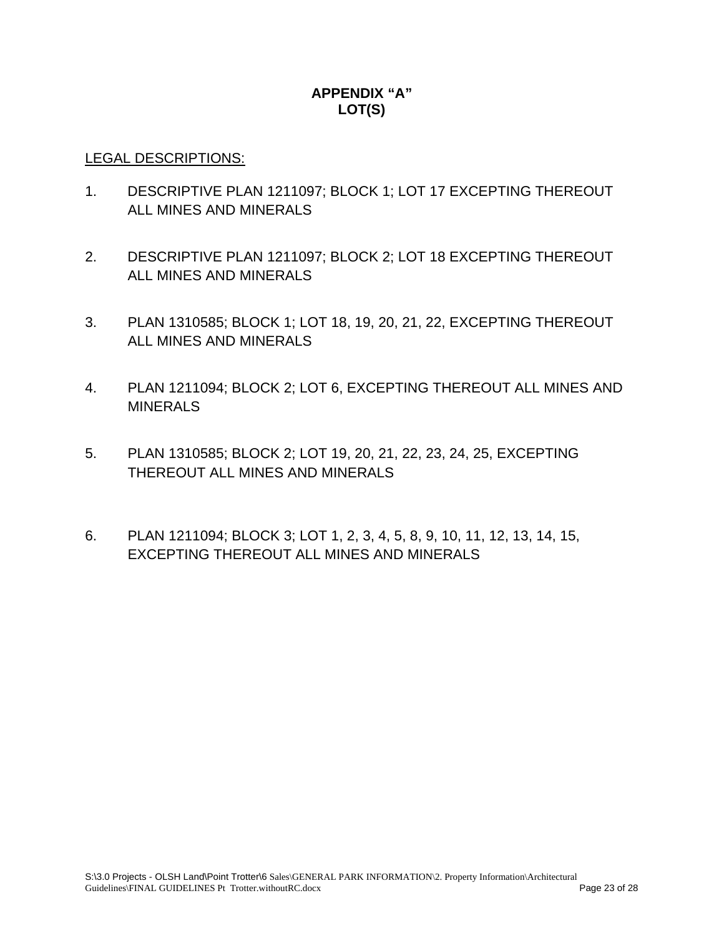# **APPENDIX "A" LOT(S)**

### LEGAL DESCRIPTIONS:

- 1. DESCRIPTIVE PLAN 1211097; BLOCK 1; LOT 17 EXCEPTING THEREOUT ALL MINES AND MINERALS
- 2. DESCRIPTIVE PLAN 1211097; BLOCK 2; LOT 18 EXCEPTING THEREOUT ALL MINES AND MINERALS
- 3. PLAN 1310585; BLOCK 1; LOT 18, 19, 20, 21, 22, EXCEPTING THEREOUT ALL MINES AND MINERALS
- 4. PLAN 1211094; BLOCK 2; LOT 6, EXCEPTING THEREOUT ALL MINES AND MINERALS
- 5. PLAN 1310585; BLOCK 2; LOT 19, 20, 21, 22, 23, 24, 25, EXCEPTING THEREOUT ALL MINES AND MINERALS
- 6. PLAN 1211094; BLOCK 3; LOT 1, 2, 3, 4, 5, 8, 9, 10, 11, 12, 13, 14, 15, EXCEPTING THEREOUT ALL MINES AND MINERALS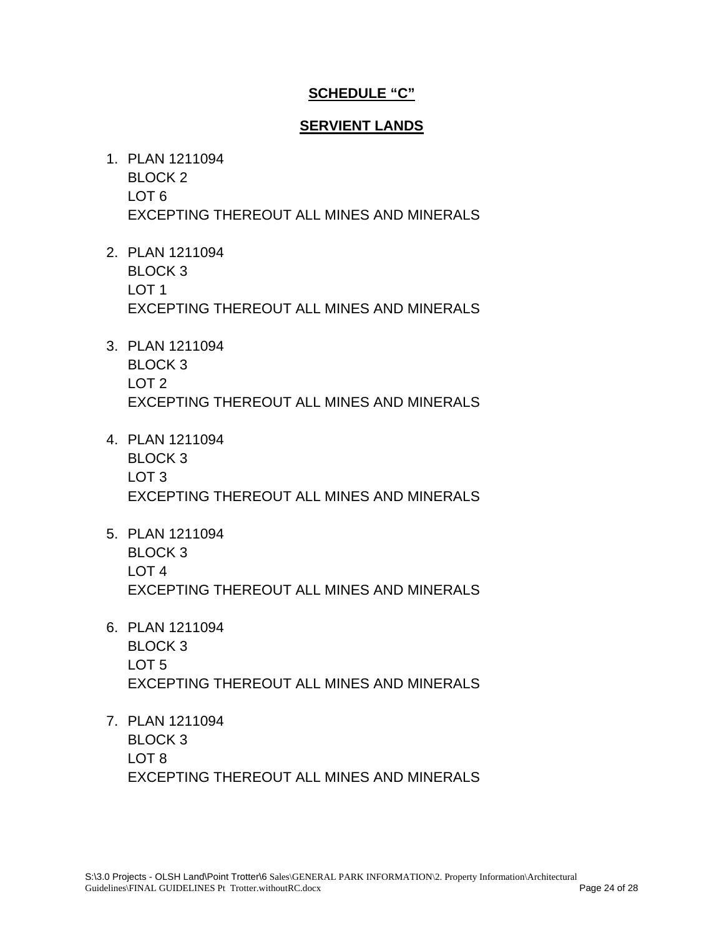## **SCHEDULE "C"**

## **SERVIENT LANDS**

- 1. PLAN 1211094 BLOCK 2 LOT 6 EXCEPTING THEREOUT ALL MINES AND MINERALS
- 2. PLAN 1211094 BLOCK 3 LOT 1 EXCEPTING THEREOUT ALL MINES AND MINERALS
- 3. PLAN 1211094 BLOCK 3 LOT 2 EXCEPTING THEREOUT ALL MINES AND MINERALS
- 4. PLAN 1211094 BLOCK 3 LOT 3 EXCEPTING THEREOUT ALL MINES AND MINERALS
- 5. PLAN 1211094 BLOCK 3 LOT 4 EXCEPTING THEREOUT ALL MINES AND MINERALS
- 6. PLAN 1211094 BLOCK 3 LOT 5 EXCEPTING THEREOUT ALL MINES AND MINERALS
- 7. PLAN 1211094 BLOCK 3 LOT 8 EXCEPTING THEREOUT ALL MINES AND MINERALS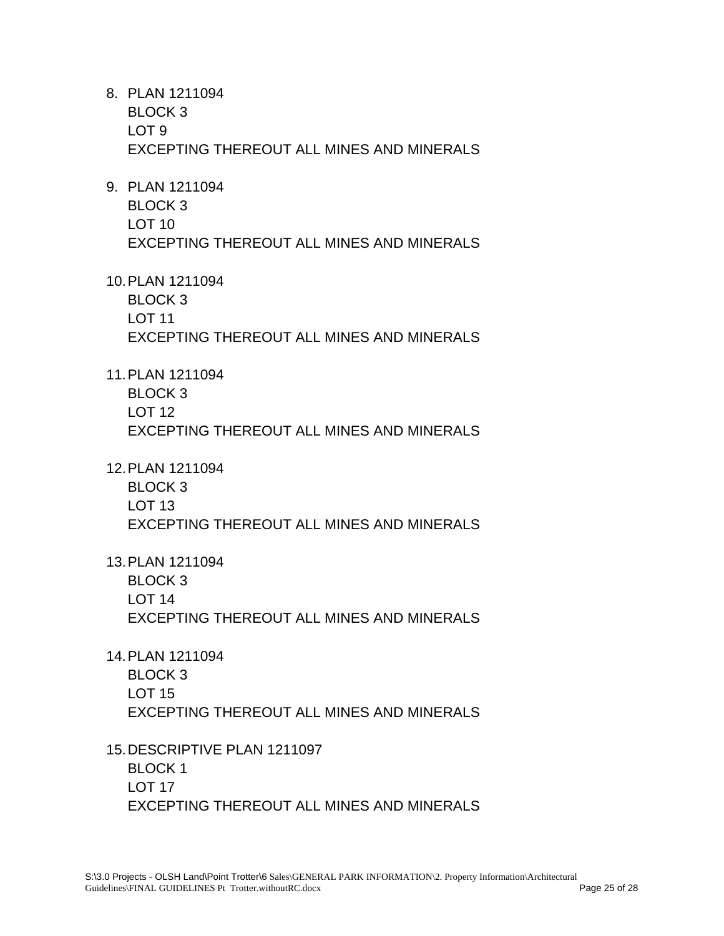- 8. PLAN 1211094 BLOCK 3 LOT 9 EXCEPTING THEREOUT ALL MINES AND MINERALS
- 9. PLAN 1211094 BLOCK 3 LOT 10 EXCEPTING THEREOUT ALL MINES AND MINERALS
- 10. PLAN 1211094

BLOCK 3 LOT 11 EXCEPTING THEREOUT ALL MINES AND MINERALS

- 11. PLAN 1211094 BLOCK 3 LOT 12 EXCEPTING THEREOUT ALL MINES AND MINERALS
- 12. PLAN 1211094

BLOCK 3 LOT 13 EXCEPTING THEREOUT ALL MINES AND MINERALS

- 13. PLAN 1211094 BLOCK 3 LOT 14 EXCEPTING THEREOUT ALL MINES AND MINERALS
- 14. PLAN 1211094 BLOCK 3 LOT 15 EXCEPTING THEREOUT ALL MINES AND MINERALS
- 15. DESCRIPTIVE PLAN 1211097 BLOCK 1 LOT 17 EXCEPTING THEREOUT ALL MINES AND MINERALS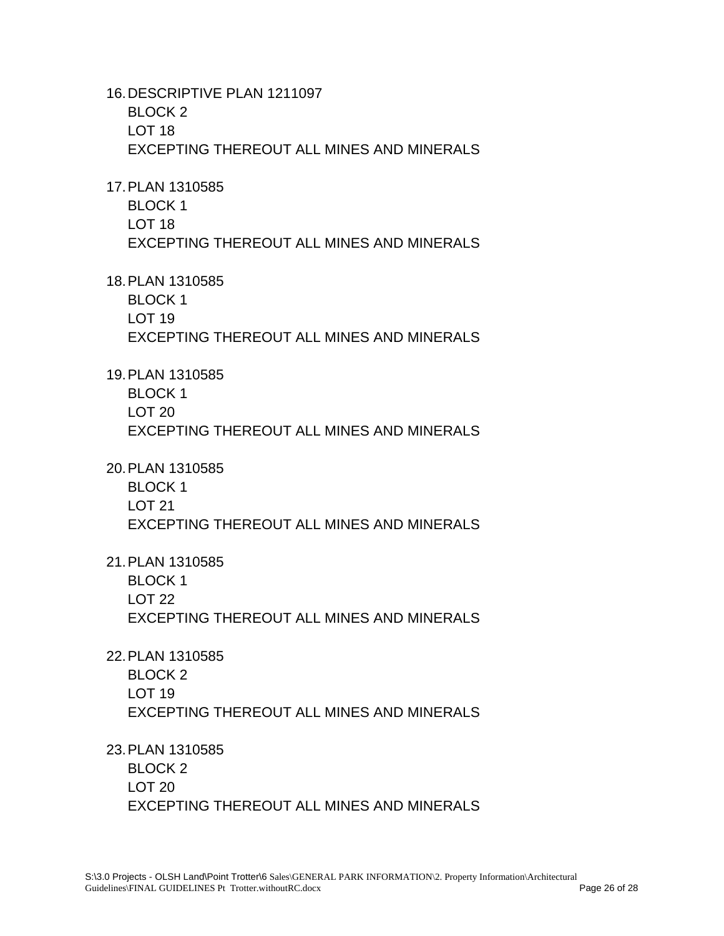16. DESCRIPTIVE PLAN 1211097 BLOCK 2 LOT 18 EXCEPTING THEREOUT ALL MINES AND MINERALS

17. PLAN 1310585

BLOCK 1 LOT 18 EXCEPTING THEREOUT ALL MINES AND MINERALS

18. PLAN 1310585

BLOCK 1 LOT 19 EXCEPTING THEREOUT ALL MINES AND MINERALS

19. PLAN 1310585 BLOCK 1 LOT 20 EXCEPTING THEREOUT ALL MINES AND MINERALS

20. PLAN 1310585

BLOCK 1 LOT 21 EXCEPTING THEREOUT ALL MINES AND MINERALS

21. PLAN 1310585 BLOCK 1 LOT 22 EXCEPTING THEREOUT ALL MINES AND MINERALS

22. PLAN 1310585 BLOCK 2 LOT 19 EXCEPTING THEREOUT ALL MINES AND MINERALS

23. PLAN 1310585 BLOCK 2 LOT 20 EXCEPTING THEREOUT ALL MINES AND MINERALS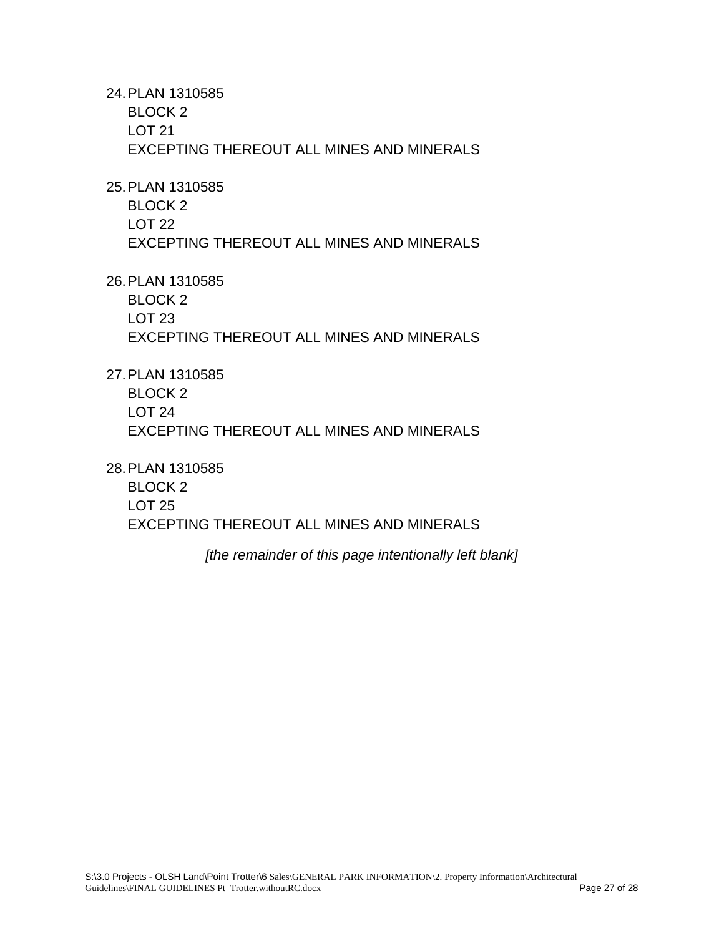24. PLAN 1310585 BLOCK 2 LOT 21 EXCEPTING THEREOUT ALL MINES AND MINERALS

25. PLAN 1310585

BLOCK 2 LOT 22 EXCEPTING THEREOUT ALL MINES AND MINERALS

26. PLAN 1310585

BLOCK 2 LOT 23 EXCEPTING THEREOUT ALL MINES AND MINERALS

27. PLAN 1310585 BLOCK 2 LOT 24 EXCEPTING THEREOUT ALL MINES AND MINERALS

28. PLAN 1310585

BLOCK 2 LOT 25 EXCEPTING THEREOUT ALL MINES AND MINERALS

*[the remainder of this page intentionally left blank]*